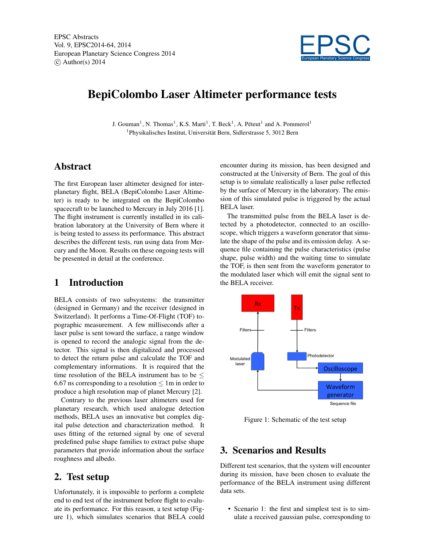

# BepiColombo Laser Altimeter performance tests

J. Gouman<sup>1</sup>, N. Thomas<sup>1</sup>, K.S. Marti<sup>1</sup>, T. Beck<sup>1</sup>, A. Péteut<sup>1</sup> and A. Pommerol<sup>1</sup> 1 Physikalisches Institut, Universität Bern, Sidlerstrasse 5, 3012 Bern

#### Abstract

The first European laser altimeter designed for interplanetary flight, BELA (BepiColombo Laser Altimeter) is ready to be integrated on the BepiColombo spacecraft to be launched to Mercury in July 2016 [1]. The flight instrument is currently installed in its calibration laboratory at the University of Bern where it is being tested to assess its performance. This abstract describes the different tests, run using data from Mercury and the Moon. Results on these ongoing tests will be presented in detail at the conference.

#### 1 Introduction

BELA consists of two subsystems: the transmitter (designed in Germany) and the receiver (designed in Switzerland). It performs a Time-Of-Flight (TOF) topographic measurement. A few milliseconds after a laser pulse is sent toward the surface, a range window is opened to record the analogic signal from the detector. This signal is then digitalized and processed to detect the return pulse and calculate the TOF and complementary informations. It is required that the time resolution of the BELA instrument has to be  $\leq$ 6.67 ns corresponding to a resolution  $\leq 1$ m in order to produce a high resolution map of planet Mercury [2].

Contrary to the previous laser altimeters used for planetary research, which used analogue detection methods, BELA uses an innovative but complex digital pulse detection and characterization method. It uses fitting of the returned signal by one of several predefined pulse shape families to extract pulse shape parameters that provide information about the surface roughness and albedo.

#### 2. Test setup

Unfortunately, it is impossible to perform a complete end to end test of the instrument before flight to evaluate its performance. For this reason, a test setup (Figure 1), which simulates scenarios that BELA could encounter during its mission, has been designed and constructed at the University of Bern. The goal of this setup is to simulate realistically a laser pulse reflected by the surface of Mercury in the laboratory. The emission of this simulated pulse is triggered by the actual BELA laser.

The transmitted pulse from the BELA laser is detected by a photodetector, connected to an oscilloscope, which triggers a waveform generator that simulate the shape of the pulse and its emission delay. A sequence file containing the pulse characteristics (pulse shape, pulse width) and the waiting time to simulate the TOF, is then sent from the waveform generator to the modulated laser which will emit the signal sent to the BELA receiver.



Figure 1: Schematic of the test setup

## 3. Scenarios and Results

Different test scenarios, that the system will encounter during its mission, have been chosen to evaluate the performance of the BELA instrument using different data sets.

• Scenario 1: the first and simplest test is to simulate a received gaussian pulse, corresponding to